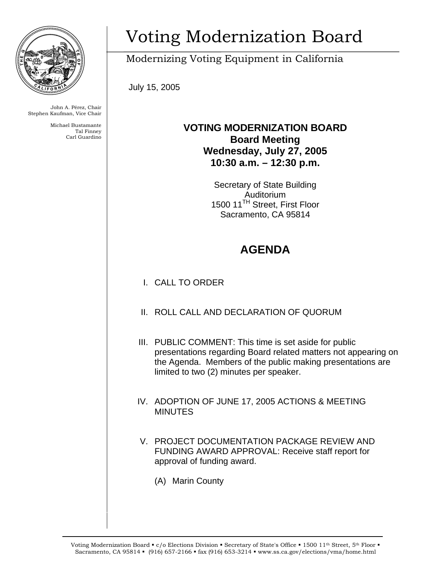

John A. Pérez, Chair Stephen Kaufman, Vice Chair

> Michael Bustamante Tal Finney Carl Guardino

## Voting Modernization Board

Modernizing Voting Equipment in California

July 15, 2005

## **VOTING MODERNIZATION BOARD Board Meeting Wednesday, July 27, 2005 10:30 a.m. – 12:30 p.m.**

Secretary of State Building Auditorium 1500 11<sup>TH</sup> Street, First Floor Sacramento, CA 95814

## **AGENDA**

- I. CALL TO ORDER
- II. ROLL CALL AND DECLARATION OF QUORUM
- III. PUBLIC COMMENT: This time is set aside for public presentations regarding Board related matters not appearing on the Agenda. Members of the public making presentations are limited to two (2) minutes per speaker.
- IV. ADOPTION OF JUNE 17, 2005 ACTIONS & MEETING **MINUTES**
- V. PROJECT DOCUMENTATION PACKAGE REVIEW AND FUNDING AWARD APPROVAL: Receive staff report for approval of funding award.
	- (A) Marin County